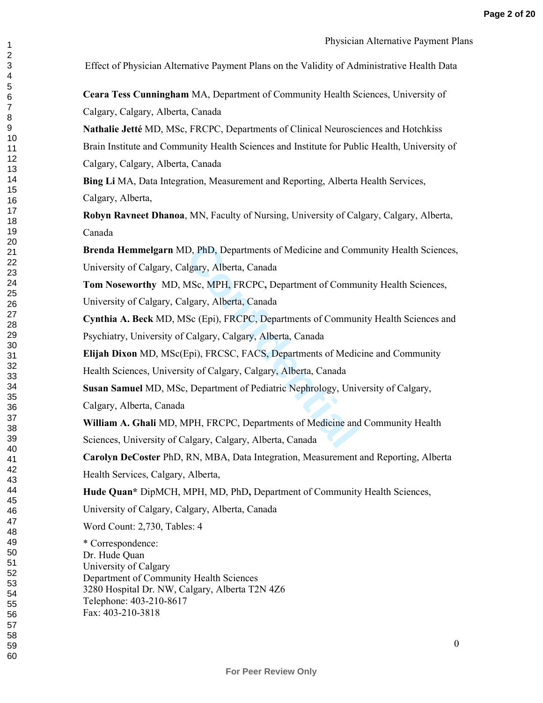Effect of Physician Alternative Payment Plans on the Validity of Administrative Health Data

**Ceara Tess Cunningham** MA, Department of Community Health Sciences, University of Calgary, Calgary, Alberta, Canada

**Nathalie Jetté** MD, MSc, FRCPC, Departments of Clinical Neurosciences and Hotchkiss Brain Institute and Community Health Sciences and Institute for Public Health, University of Calgary, Calgary, Alberta, Canada

**Bing Li** MA, Data Integration, Measurement and Reporting, Alberta Health Services, Calgary, Alberta,

**Robyn Ravneet Dhanoa**, MN, Faculty of Nursing, University of Calgary, Calgary, Alberta, Canada

**Brenda Hemmelgarn** MD, PhD, Departments of Medicine and Community Health Sciences, University of Calgary, Calgary, Alberta, Canada

D, PhD, Departments of Medicine and Com<br>Ilgary, Alberta, Canada<br>MSc, MPH, FRCPC, Department of Commu<br>Ilgary, Alberta, Canada<br>Sc (Epi), FRCPC, Departments of Commur<br>Calgary, Calgary, Alberta, Canada<br>Epi), FRCSC, FACS, Depar **Tom Noseworthy** MD, MSc, MPH, FRCPC**,** Department of Community Health Sciences, University of Calgary, Calgary, Alberta, Canada

**Cynthia A. Beck** MD, MSc (Epi), FRCPC, Departments of Community Health Sciences and Psychiatry, University of Calgary, Calgary, Alberta, Canada

**Elijah Dixon** MD, MSc(Epi), FRCSC, FACS, Departments of Medicine and Community Health Sciences, University of Calgary, Calgary, Alberta, Canada

**Susan Samuel** MD, MSc, Department of Pediatric Nephrology, University of Calgary, Calgary, Alberta, Canada

**William A. Ghali** MD, MPH, FRCPC, Departments of Medicine and Community Health Sciences, University of Calgary, Calgary, Alberta, Canada

**Carolyn DeCoster** PhD, RN, MBA, Data Integration, Measurement and Reporting, Alberta Health Services, Calgary, Alberta,

**Hude Quan\*** DipMCH, MPH, MD, PhD**,** Department of Community Health Sciences,

University of Calgary, Calgary, Alberta, Canada

Word Count: 2,730, Tables: 4

\* Correspondence: Dr. Hude Quan University of Calgary Department of Community Health Sciences 3280 Hospital Dr. NW, Calgary, Alberta T2N 4Z6 Telephone: 403-210-8617 Fax: 403-210-3818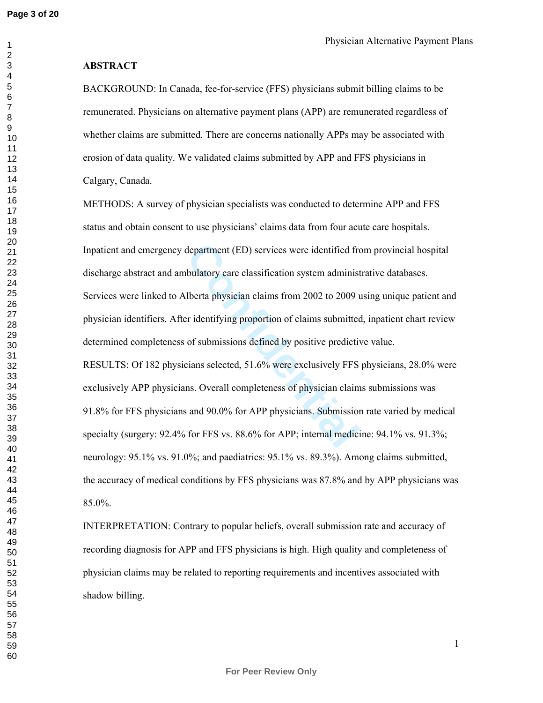#### **ABSTRACT**

BACKGROUND: In Canada, fee-for-service (FFS) physicians submit billing claims to be remunerated. Physicians on alternative payment plans (APP) are remunerated regardless of whether claims are submitted. There are concerns nationally APPs may be associated with erosion of data quality. We validated claims submitted by APP and FFS physicians in Calgary, Canada.

department (ED) services were identified free<br>bulatory care classification system administ<br>lberta physician claims from 2002 to 2009 under identifying proportion of claims submitted<br>of submissions defined by positive predi METHODS: A survey of physician specialists was conducted to determine APP and FFS status and obtain consent to use physicians' claims data from four acute care hospitals. Inpatient and emergency department (ED) services were identified from provincial hospital discharge abstract and ambulatory care classification system administrative databases. Services were linked to Alberta physician claims from 2002 to 2009 using unique patient and physician identifiers. After identifying proportion of claims submitted, inpatient chart review determined completeness of submissions defined by positive predictive value. RESULTS: Of 182 physicians selected, 51.6% were exclusively FFS physicians, 28.0% were exclusively APP physicians. Overall completeness of physician claims submissions was 91.8% for FFS physicians and 90.0% for APP physicians. Submission rate varied by medical specialty (surgery: 92.4% for FFS vs. 88.6% for APP; internal medicine: 94.1% vs. 91.3%; neurology: 95.1% vs. 91.0%; and paediatrics: 95.1% vs. 89.3%). Among claims submitted, the accuracy of medical conditions by FFS physicians was 87.8% and by APP physicians was 85.0%.

INTERPRETATION: Contrary to popular beliefs, overall submission rate and accuracy of recording diagnosis for APP and FFS physicians is high. High quality and completeness of physician claims may be related to reporting requirements and incentives associated with shadow billing.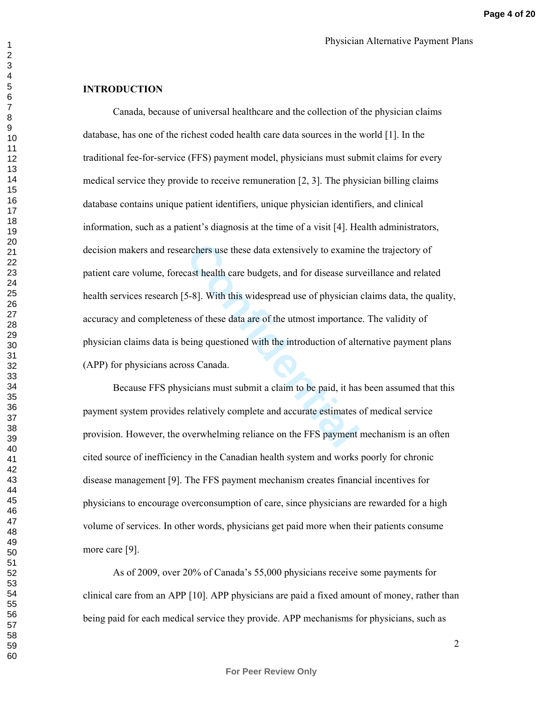#### **INTRODUCTION**

archers use these data extensively to examintively to examintively to examintively to the case surversided that care budgets, and for disease surverside.<br>
S-8]. With this widespread use of physiciant ss of these data are o Canada, because of universal healthcare and the collection of the physician claims database, has one of the richest coded health care data sources in the world [1]. In the traditional fee-for-service (FFS) payment model, physicians must submit claims for every medical service they provide to receive remuneration  $[2, 3]$ . The physician billing claims database contains unique patient identifiers, unique physician identifiers, and clinical information, such as a patient's diagnosis at the time of a visit [4]. Health administrators, decision makers and researchers use these data extensively to examine the trajectory of patient care volume, forecast health care budgets, and for disease surveillance and related health services research [5-8]. With this widespread use of physician claims data, the quality, accuracy and completeness of these data are of the utmost importance. The validity of physician claims data is being questioned with the introduction of alternative payment plans (APP) for physicians across Canada.

Because FFS physicians must submit a claim to be paid, it has been assumed that this payment system provides relatively complete and accurate estimates of medical service provision. However, the overwhelming reliance on the FFS payment mechanism is an often cited source of inefficiency in the Canadian health system and works poorly for chronic disease management [9]. The FFS payment mechanism creates financial incentives for physicians to encourage overconsumption of care, since physicians are rewarded for a high volume of services. In other words, physicians get paid more when their patients consume more care [9].

As of 2009, over 20% of Canada's 55,000 physicians receive some payments for clinical care from an APP [10]. APP physicians are paid a fixed amount of money, rather than being paid for each medical service they provide. APP mechanisms for physicians, such as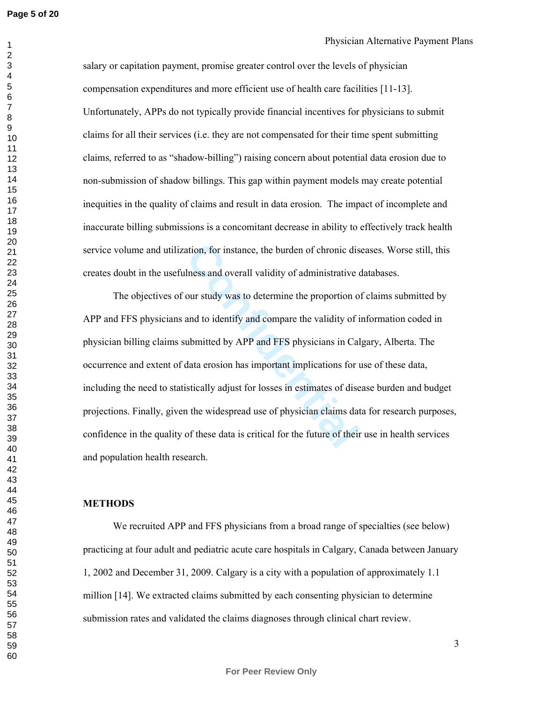salary or capitation payment, promise greater control over the levels of physician compensation expenditures and more efficient use of health care facilities [11-13]. Unfortunately, APPs do not typically provide financial incentives for physicians to submit claims for all their services (i.e. they are not compensated for their time spent submitting claims, referred to as "shadow-billing") raising concern about potential data erosion due to non-submission of shadow billings. This gap within payment models may create potential inequities in the quality of claims and result in data erosion. The impact of incomplete and inaccurate billing submissions is a concomitant decrease in ability to effectively track health service volume and utilization, for instance, the burden of chronic diseases. Worse still, this creates doubt in the usefulness and overall validity of administrative databases.

ation, for instance, the burden of chronic dis<br>
lness and overall validity of administrative of<br>
our study was to determine the proportion of<br>
and to identify and compare the validity of i<br>
ubmitted by APP and FFS physicia The objectives of our study was to determine the proportion of claims submitted by APP and FFS physicians and to identify and compare the validity of information coded in physician billing claims submitted by APP and FFS physicians in Calgary, Alberta. The occurrence and extent of data erosion has important implications for use of these data, including the need to statistically adjust for losses in estimates of disease burden and budget projections. Finally, given the widespread use of physician claims data for research purposes, confidence in the quality of these data is critical for the future of their use in health services and population health research.

#### **METHODS**

We recruited APP and FFS physicians from a broad range of specialties (see below) practicing at four adult and pediatric acute care hospitals in Calgary, Canada between January 1, 2002 and December 31, 2009. Calgary is a city with a population of approximately 1.1 million [14]. We extracted claims submitted by each consenting physician to determine submission rates and validated the claims diagnoses through clinical chart review.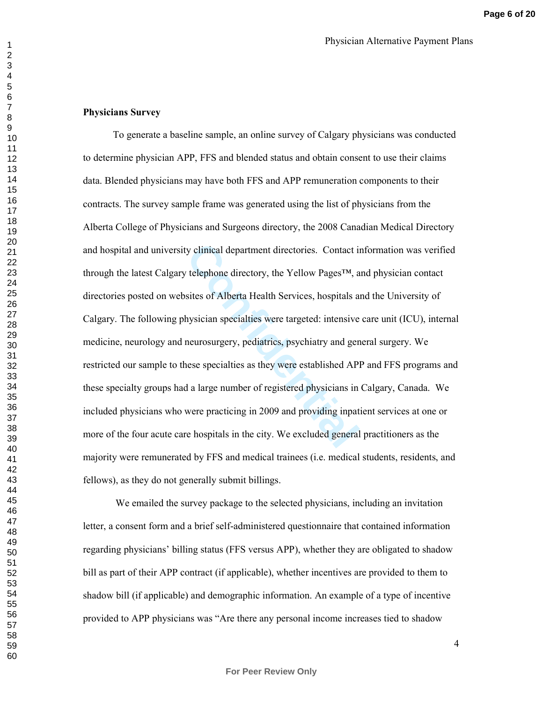## **Physicians Survey**

contributed department directories. Contact in the explorement directories. Contact in the explorement of the Vellow Pages<sup>TM</sup>, and sites of Alberta Health Services, hospitals a hysician specialties were targeted: intensi To generate a baseline sample, an online survey of Calgary physicians was conducted to determine physician APP, FFS and blended status and obtain consent to use their claims data. Blended physicians may have both FFS and APP remuneration components to their contracts. The survey sample frame was generated using the list of physicians from the Alberta College of Physicians and Surgeons directory, the 2008 Canadian Medical Directory and hospital and university clinical department directories. Contact information was verified through the latest Calgary telephone directory, the Yellow Pages™, and physician contact directories posted on websites of Alberta Health Services, hospitals and the University of Calgary. The following physician specialties were targeted: intensive care unit (ICU), internal medicine, neurology and neurosurgery, pediatrics, psychiatry and general surgery. We restricted our sample to these specialties as they were established APP and FFS programs and these specialty groups had a large number of registered physicians in Calgary, Canada. We included physicians who were practicing in 2009 and providing inpatient services at one or more of the four acute care hospitals in the city. We excluded general practitioners as the majority were remunerated by FFS and medical trainees (i.e. medical students, residents, and fellows), as they do not generally submit billings.

 We emailed the survey package to the selected physicians, including an invitation letter, a consent form and a brief self-administered questionnaire that contained information regarding physicians' billing status (FFS versus APP), whether they are obligated to shadow bill as part of their APP contract (if applicable), whether incentives are provided to them to shadow bill (if applicable) and demographic information. An example of a type of incentive provided to APP physicians was "Are there any personal income increases tied to shadow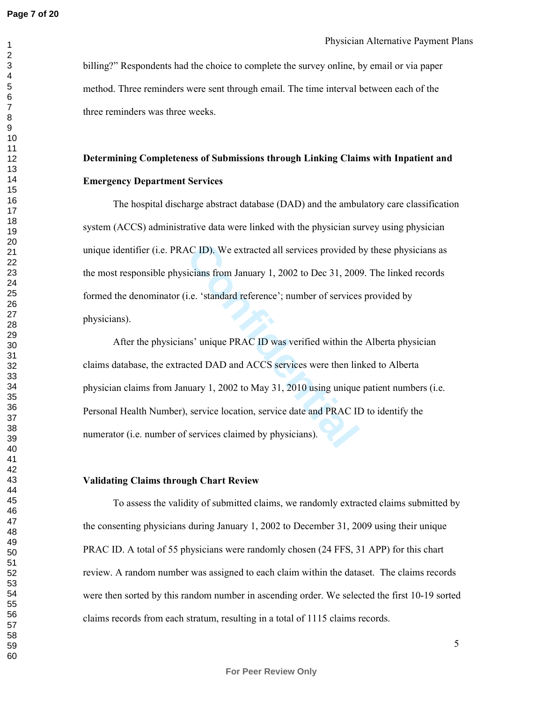billing?" Respondents had the choice to complete the survey online, by email or via paper method. Three reminders were sent through email. The time interval between each of the three reminders was three weeks.

#### **Determining Completeness of Submissions through Linking Claims with Inpatient and**

#### **Emergency Department Services**

The hospital discharge abstract database (DAD) and the ambulatory care classification system (ACCS) administrative data were linked with the physician survey using physician unique identifier (i.e. PRAC ID). We extracted all services provided by these physicians as the most responsible physicians from January 1, 2002 to Dec 31, 2009. The linked records formed the denominator (i.e. 'standard reference'; number of services provided by physicians).

AC ID). We extracted all services provided l<br>icians from January 1, 2002 to Dec 31, 200<br>i.e. 'standard reference'; number of services<br>ns' unique PRAC ID was verified within the<br>cted DAD and ACCS services were then lin<br>nuar After the physicians' unique PRAC ID was verified within the Alberta physician claims database, the extracted DAD and ACCS services were then linked to Alberta physician claims from January 1, 2002 to May 31, 2010 using unique patient numbers (i.e. Personal Health Number), service location, service date and PRAC ID to identify the numerator (i.e. number of services claimed by physicians).

#### **Validating Claims through Chart Review**

To assess the validity of submitted claims, we randomly extracted claims submitted by the consenting physicians during January 1, 2002 to December 31, 2009 using their unique PRAC ID. A total of 55 physicians were randomly chosen (24 FFS, 31 APP) for this chart review. A random number was assigned to each claim within the dataset. The claims records were then sorted by this random number in ascending order. We selected the first 10-19 sorted claims records from each stratum, resulting in a total of 1115 claims records.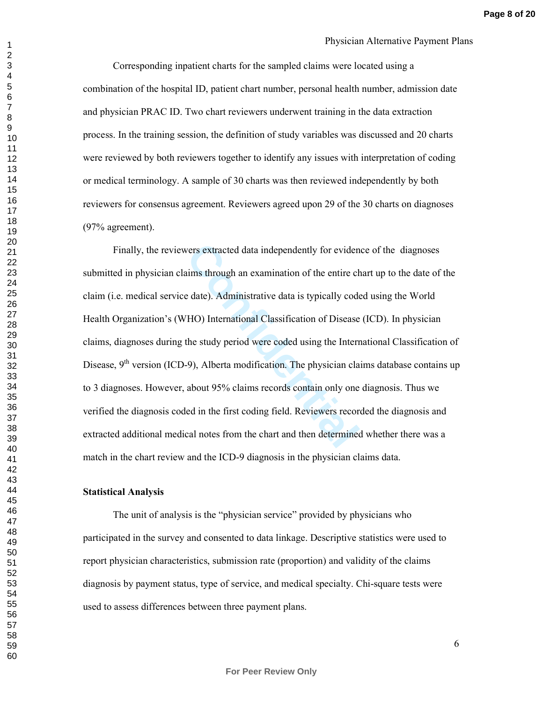Corresponding inpatient charts for the sampled claims were located using a combination of the hospital ID, patient chart number, personal health number, admission date and physician PRAC ID. Two chart reviewers underwent training in the data extraction process. In the training session, the definition of study variables was discussed and 20 charts were reviewed by both reviewers together to identify any issues with interpretation of coding or medical terminology. A sample of 30 charts was then reviewed independently by both reviewers for consensus agreement. Reviewers agreed upon 29 of the 30 charts on diagnoses (97% agreement).

vers extracted data independently for eviden<br>aims through an examination of the entire checked and<br>examination of the entire of<br>educed at a is typically code<br>THO) International Classification of Disease<br>the study period we Finally, the reviewers extracted data independently for evidence of the diagnoses submitted in physician claims through an examination of the entire chart up to the date of the claim (i.e. medical service date). Administrative data is typically coded using the World Health Organization's (WHO) International Classification of Disease (ICD). In physician claims, diagnoses during the study period were coded using the International Classification of Disease,  $9<sup>th</sup>$  version (ICD-9), Alberta modification. The physician claims database contains up to 3 diagnoses. However, about 95% claims records contain only one diagnosis. Thus we verified the diagnosis coded in the first coding field. Reviewers recorded the diagnosis and extracted additional medical notes from the chart and then determined whether there was a match in the chart review and the ICD-9 diagnosis in the physician claims data.

#### **Statistical Analysis**

The unit of analysis is the "physician service" provided by physicians who participated in the survey and consented to data linkage. Descriptive statistics were used to report physician characteristics, submission rate (proportion) and validity of the claims diagnosis by payment status, type of service, and medical specialty. Chi-square tests were used to assess differences between three payment plans.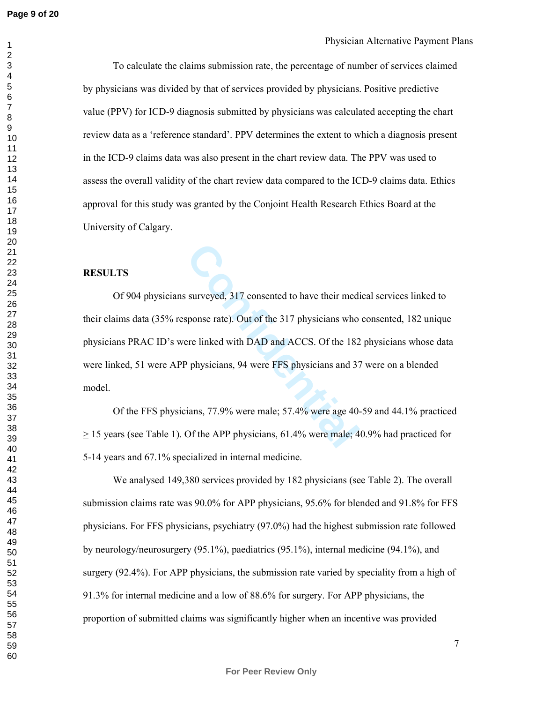To calculate the claims submission rate, the percentage of number of services claimed by physicians was divided by that of services provided by physicians. Positive predictive value (PPV) for ICD-9 diagnosis submitted by physicians was calculated accepting the chart review data as a 'reference standard'. PPV determines the extent to which a diagnosis present in the ICD-9 claims data was also present in the chart review data. The PPV was used to assess the overall validity of the chart review data compared to the ICD-9 claims data. Ethics approval for this study was granted by the Conjoint Health Research Ethics Board at the University of Calgary.

#### **RESULTS**

surveyed, 317 consented to have their med:<br>sponse rate). Out of the 317 physicians who<br>ere linked with DAD and ACCS. Of the 182<br>Physicians, 94 were FFS physicians and 37<br>ians, 77.9% were male; 57.4% were age 40.<br>Of the APP Of 904 physicians surveyed, 317 consented to have their medical services linked to their claims data (35% response rate). Out of the 317 physicians who consented, 182 unique physicians PRAC ID's were linked with DAD and ACCS. Of the 182 physicians whose data were linked, 51 were APP physicians, 94 were FFS physicians and 37 were on a blended model.

Of the FFS physicians, 77.9% were male; 57.4% were age 40-59 and 44.1% practiced  $\geq$  15 years (see Table 1). Of the APP physicians, 61.4% were male; 40.9% had practiced for 5-14 years and 67.1% specialized in internal medicine.

 We analysed 149,380 services provided by 182 physicians (see Table 2). The overall submission claims rate was 90.0% for APP physicians, 95.6% for blended and 91.8% for FFS physicians. For FFS physicians, psychiatry (97.0%) had the highest submission rate followed by neurology/neurosurgery (95.1%), paediatrics (95.1%), internal medicine (94.1%), and surgery (92.4%). For APP physicians, the submission rate varied by speciality from a high of 91.3% for internal medicine and a low of 88.6% for surgery. For APP physicians, the proportion of submitted claims was significantly higher when an incentive was provided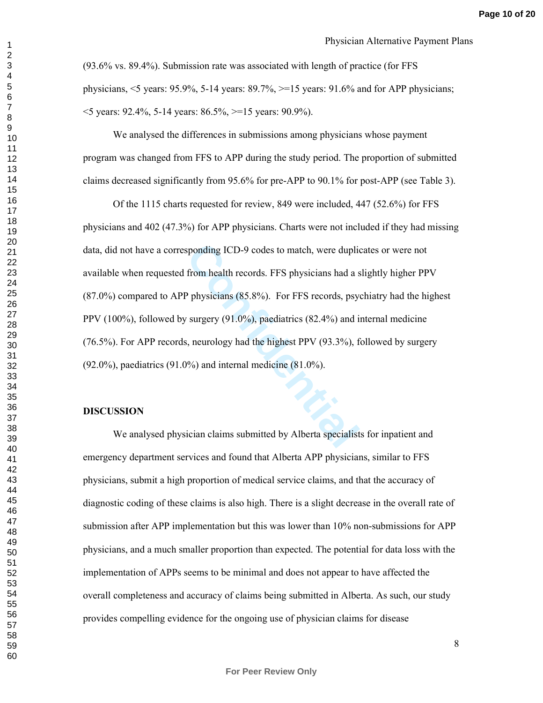(93.6% vs. 89.4%). Submission rate was associated with length of practice (for FFS physicians,  $\le$  years: 95.9%, 5-14 years: 89.7%,  $\ge$  =15 years: 91.6% and for APP physicians;  $\leq$  years: 92.4%, 5-14 years: 86.5%,  $\geq$  15 years: 90.9%).

We analysed the differences in submissions among physicians whose payment program was changed from FFS to APP during the study period. The proportion of submitted claims decreased significantly from 95.6% for pre-APP to 90.1% for post-APP (see Table 3).

sponding ICD-9 codes to match, were duplite<br>from health records. FFS physicians had a s<br>P physicians (85.8%). For FFS records, psy<br>v surgery (91.0%), paediatrics (82.4%) and i<br>i, neurology had the highest PPV (93.3%), f<br>1% Of the 1115 charts requested for review, 849 were included, 447 (52.6%) for FFS physicians and 402 (47.3%) for APP physicians. Charts were not included if they had missing data, did not have a corresponding ICD-9 codes to match, were duplicates or were not available when requested from health records. FFS physicians had a slightly higher PPV (87.0%) compared to APP physicians (85.8%). For FFS records, psychiatry had the highest PPV (100%), followed by surgery (91.0%), paediatrics (82.4%) and internal medicine (76.5%). For APP records, neurology had the highest PPV (93.3%), followed by surgery (92.0%), paediatrics (91.0%) and internal medicine (81.0%).

#### **DISCUSSION**

 We analysed physician claims submitted by Alberta specialists for inpatient and emergency department services and found that Alberta APP physicians, similar to FFS physicians, submit a high proportion of medical service claims, and that the accuracy of diagnostic coding of these claims is also high. There is a slight decrease in the overall rate of submission after APP implementation but this was lower than 10% non-submissions for APP physicians, and a much smaller proportion than expected. The potential for data loss with the implementation of APPs seems to be minimal and does not appear to have affected the overall completeness and accuracy of claims being submitted in Alberta. As such, our study provides compelling evidence for the ongoing use of physician claims for disease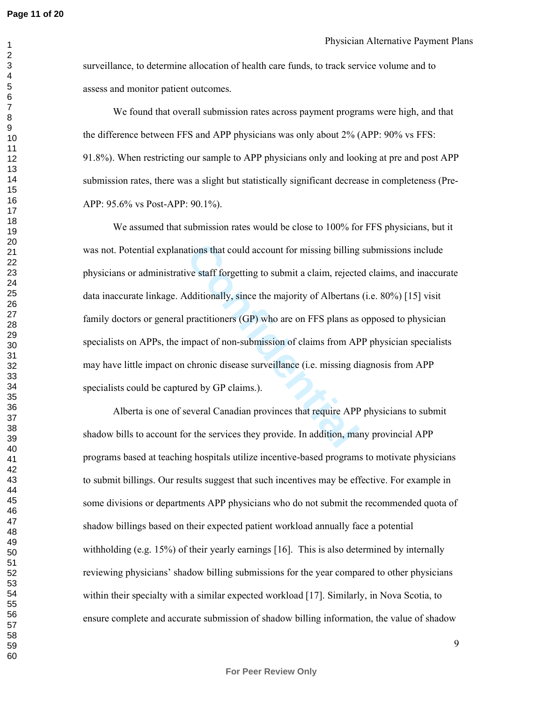surveillance, to determine allocation of health care funds, to track service volume and to assess and monitor patient outcomes.

We found that overall submission rates across payment programs were high, and that the difference between FFS and APP physicians was only about 2% (APP: 90% vs FFS: 91.8%). When restricting our sample to APP physicians only and looking at pre and post APP submission rates, there was a slight but statistically significant decrease in completeness (Pre-APP: 95.6% vs Post-APP: 90.1%).

actions that could account for missing billing<br>ive staff forgetting to submit a claim, rejected<br>dditionally, since the majority of Albertans<br>practitioners (GP) who are on FFS plans as<br>mpact of non-submission of claims from We assumed that submission rates would be close to 100% for FFS physicians, but it was not. Potential explanations that could account for missing billing submissions include physicians or administrative staff forgetting to submit a claim, rejected claims, and inaccurate data inaccurate linkage. Additionally, since the majority of Albertans (i.e. 80%) [15] visit family doctors or general practitioners (GP) who are on FFS plans as opposed to physician specialists on APPs, the impact of non-submission of claims from APP physician specialists may have little impact on chronic disease surveillance (i.e. missing diagnosis from APP specialists could be captured by GP claims.).

Alberta is one of several Canadian provinces that require APP physicians to submit shadow bills to account for the services they provide. In addition, many provincial APP programs based at teaching hospitals utilize incentive-based programs to motivate physicians to submit billings. Our results suggest that such incentives may be effective. For example in some divisions or departments APP physicians who do not submit the recommended quota of shadow billings based on their expected patient workload annually face a potential withholding (e.g. 15%) of their yearly earnings [16]. This is also determined by internally reviewing physicians' shadow billing submissions for the year compared to other physicians within their specialty with a similar expected workload [17]. Similarly, in Nova Scotia, to ensure complete and accurate submission of shadow billing information, the value of shadow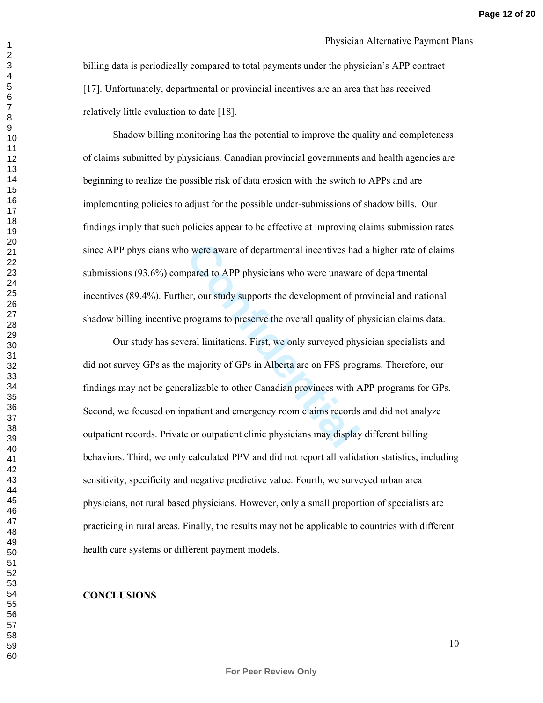billing data is periodically compared to total payments under the physician's APP contract [17]. Unfortunately, departmental or provincial incentives are an area that has received relatively little evaluation to date [18].

Shadow billing monitoring has the potential to improve the quality and completeness of claims submitted by physicians. Canadian provincial governments and health agencies are beginning to realize the possible risk of data erosion with the switch to APPs and are implementing policies to adjust for the possible under-submissions of shadow bills. Our findings imply that such policies appear to be effective at improving claims submission rates since APP physicians who were aware of departmental incentives had a higher rate of claims submissions (93.6%) compared to APP physicians who were unaware of departmental incentives (89.4%). Further, our study supports the development of provincial and national shadow billing incentive programs to preserve the overall quality of physician claims data.

of were aware of departmental incentives had<br>pared to APP physicians who were unaware<br>er, our study supports the development of programs to preserve the overall quality of p<br>programs to preserve the overall quality of p<br>er Our study has several limitations. First, we only surveyed physician specialists and did not survey GPs as the majority of GPs in Alberta are on FFS programs. Therefore, our findings may not be generalizable to other Canadian provinces with APP programs for GPs. Second, we focused on inpatient and emergency room claims records and did not analyze outpatient records. Private or outpatient clinic physicians may display different billing behaviors. Third, we only calculated PPV and did not report all validation statistics, including sensitivity, specificity and negative predictive value. Fourth, we surveyed urban area physicians, not rural based physicians. However, only a small proportion of specialists are practicing in rural areas. Finally, the results may not be applicable to countries with different health care systems or different payment models.

#### **CONCLUSIONS**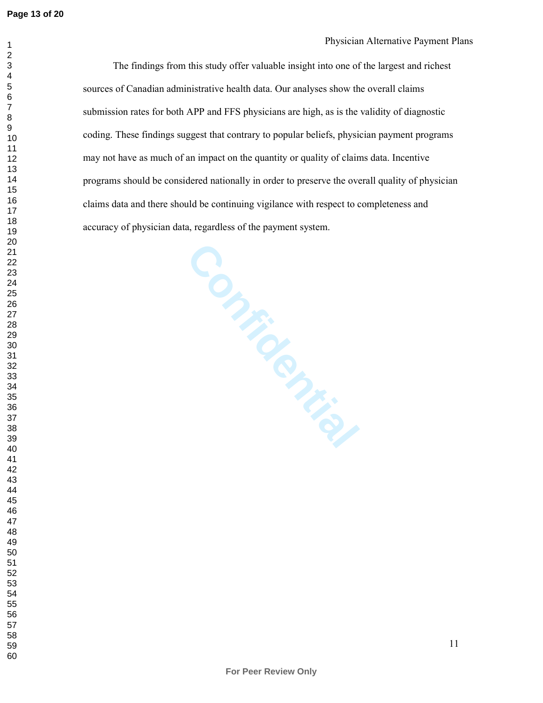#### Physician Alternative Payment Plans

The findings from this study offer valuable insight into one of the largest and richest sources of Canadian administrative health data. Our analyses show the overall claims submission rates for both APP and FFS physicians are high, as is the validity of diagnostic coding. These findings suggest that contrary to popular beliefs, physician payment programs may not have as much of an impact on the quantity or quality of claims data. Incentive programs should be considered nationally in order to preserve the overall quality of physician claims data and there should be continuing vigilance with respect to completeness and accuracy of physician data, regardless of the payment system.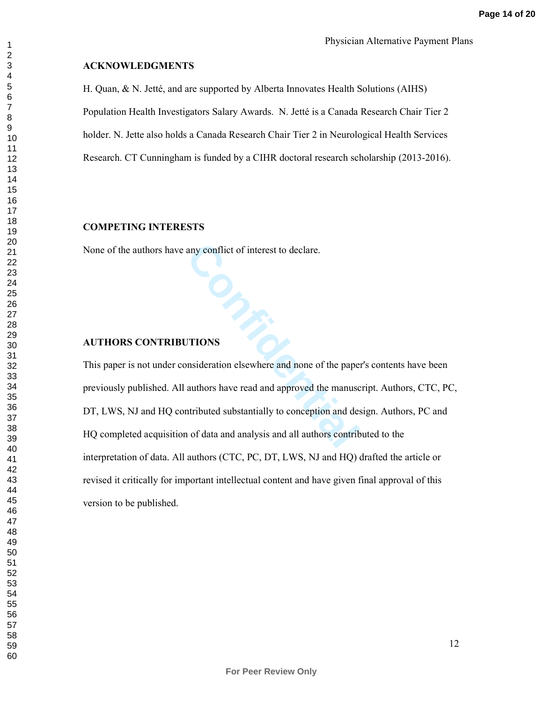#### **ACKNOWLEDGMENTS**

H. Quan, & N. Jetté, and are supported by Alberta Innovates Health Solutions (AIHS) Population Health Investigators Salary Awards. N. Jetté is a Canada Research Chair Tier 2 holder. N. Jette also holds a Canada Research Chair Tier 2 in Neurological Health Services Research. CT Cunningham is funded by a CIHR doctoral research scholarship (2013-2016).

#### **COMPETING INTERESTS**

None of the authors have any conflict of interest to declare.

# **Confidential AUTHORS CONTRIBUTIONS**

This paper is not under consideration elsewhere and none of the paper's contents have been previously published. All authors have read and approved the manuscript. Authors, CTC, PC, DT, LWS, NJ and HQ contributed substantially to conception and design. Authors, PC and HQ completed acquisition of data and analysis and all authors contributed to the interpretation of data. All authors (CTC, PC, DT, LWS, NJ and HQ) drafted the article or revised it critically for important intellectual content and have given final approval of this version to be published.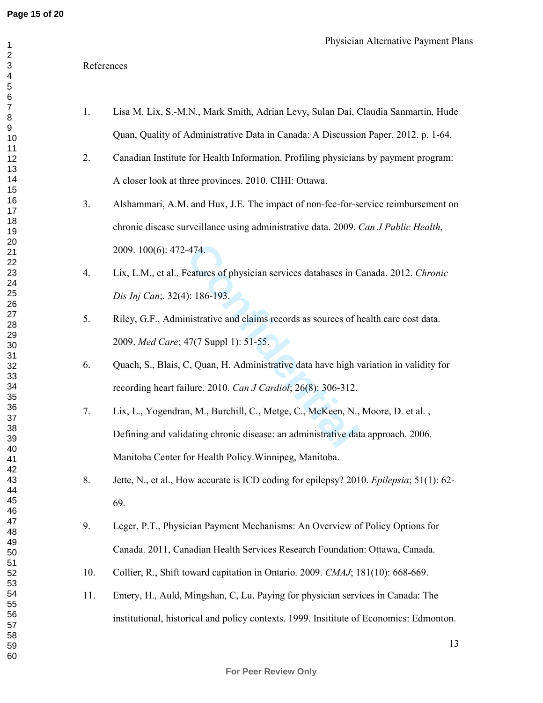#### References

| 1.             | Lisa M. Lix, S.-M.N., Mark Smith, Adrian Levy, Sulan Dai, Claudia Sanmartin, Hude       |
|----------------|-----------------------------------------------------------------------------------------|
|                | Quan, Quality of Administrative Data in Canada: A Discussion Paper. 2012. p. 1-64.      |
| 2.             | Canadian Institute for Health Information. Profiling physicians by payment program:     |
|                | A closer look at three provinces. 2010. CIHI: Ottawa.                                   |
| 3 <sub>1</sub> | Alshammari, A.M. and Hux, J.E. The impact of non-fee-for-service reimbursement on       |
|                | chronic disease surveillance using administrative data. 2009. Can J Public Health,      |
|                | 2009. 100(6): 472-474.                                                                  |
| 4.             | Lix, L.M., et al., Features of physician services databases in Canada. 2012. Chronic    |
|                | Dis Inj Can, 32(4): 186-193.                                                            |
| 5.             | Riley, G.F., Administrative and claims records as sources of health care cost data.     |
|                | 2009. Med Care; 47(7 Suppl 1): 51-55.                                                   |
| 6.             | Quach, S., Blais, C, Quan, H. Administrative data have high variation in validity for   |
|                | recording heart failure. 2010. Can J Cardiol; 26(8): 306-312.                           |
| 7.             | Lix, L., Yogendran, M., Burchill, C., Metge, C., McKeen, N., Moore, D. et al.,          |
|                | Defining and validating chronic disease: an administrative data approach. 2006.         |
|                | Manitoba Center for Health Policy. Winnipeg, Manitoba.                                  |
| 8.             | Jette, N., et al., How accurate is ICD coding for epilepsy? 2010. Epilepsia; 51(1): 62- |
|                | 69.                                                                                     |
| 9.             | Leger, P.T., Physician Payment Mechanisms: An Overview of Policy Options for            |
|                | Canada. 2011, Canadian Health Services Research Foundation: Ottawa, Canada.             |
| 10.            | Collier, R., Shift toward capitation in Ontario. 2009. CMAJ; 181(10): 668-669.          |
| 11.            | Emery, H., Auld, Mingshan, C, Lu. Paying for physician services in Canada: The          |
|                | institutional, historical and policy contexts. 1999. Insititute of Economics: Edmonton. |
|                |                                                                                         |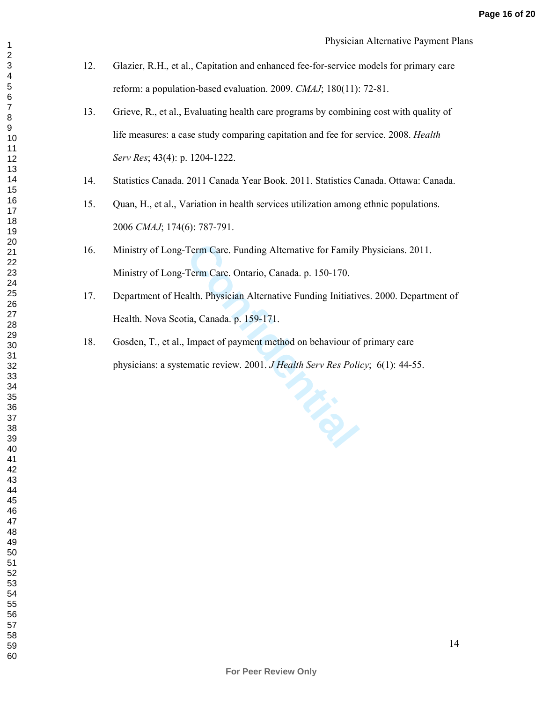12. Glazier, R.H., et al., Capitation and enhanced fee-for-service models for primary care reform: a population-based evaluation. 2009. *CMAJ*; 180(11): 72-81.

- 13. Grieve, R., et al., Evaluating health care programs by combining cost with quality of life measures: a case study comparing capitation and fee for service. 2008. *Health Serv Res*; 43(4): p. 1204-1222.
- 14. Statistics Canada. 2011 Canada Year Book. 2011. Statistics Canada. Ottawa: Canada.
- 15. Quan, H., et al., Variation in health services utilization among ethnic populations. *CMAJ*; 174(6): 787-791.
- 16. Ministry of Long-Term Care. Funding Alternative for Family Physicians. 2011. Ministry of Long-Term Care. Ontario, Canada. p. 150-170.
- 17. Department of Health. Physician Alternative Funding Initiatives. 2000. Department of Health. Nova Scotia, Canada. p. 159-171.
- 18. Gosden, T., et al., Impact of payment method on behaviour of primary care physicians: a systematic review. 2001. *J Health Serv Res Policy*; 6(1): 44-55.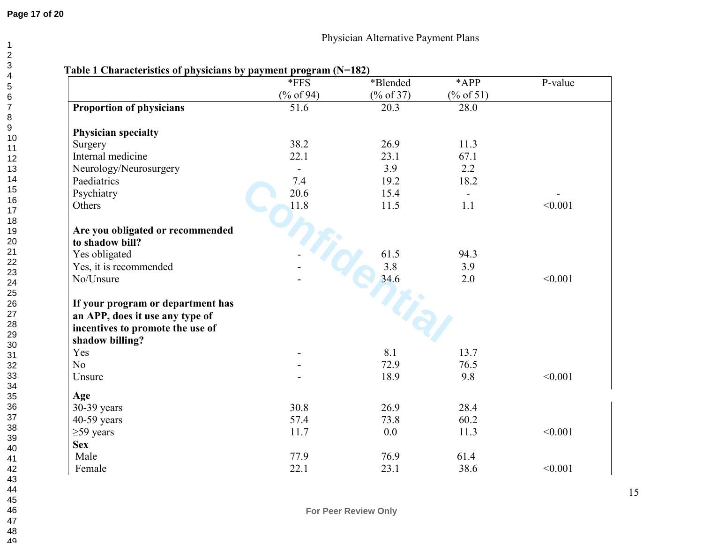|                                   | *FFS           | *Blended     | *APP         | P-value |
|-----------------------------------|----------------|--------------|--------------|---------|
|                                   | $(\%$ of 94)   | $(\%$ of 37) | $(\%$ of 51) |         |
| <b>Proportion of physicians</b>   | 51.6           | 20.3         | 28.0         |         |
| <b>Physician specialty</b>        |                |              |              |         |
| Surgery                           | 38.2           | 26.9         | 11.3         |         |
| Internal medicine                 | 22.1           | 23.1         | 67.1         |         |
| Neurology/Neurosurgery            | $\blacksquare$ | 3.9          | 2.2          |         |
| Paediatrics                       | 7.4            | 19.2         | 18.2         |         |
| Psychiatry                        | 20.6           | 15.4         |              |         |
| Others                            | 11.8           | 11.5         | 1.1          | < 0.001 |
| Are you obligated or recommended  |                |              |              |         |
| to shadow bill?                   |                |              |              |         |
| Yes obligated                     |                | 61.5         | 94.3         |         |
| Yes, it is recommended            |                | 3.8          | 3.9          |         |
| No/Unsure                         |                | 34.6         | 2.0          | < 0.001 |
| If your program or department has |                |              |              |         |
| an APP, does it use any type of   |                |              |              |         |
| incentives to promote the use of  |                |              |              |         |
| shadow billing?                   |                |              |              |         |
| Yes                               |                | 8.1          | 13.7         |         |
| N <sub>o</sub>                    |                | 72.9         | 76.5         |         |
| Unsure                            |                | 18.9         | 9.8          | < 0.001 |
| Age                               |                |              |              |         |
| 30-39 years                       | 30.8           | 26.9         | 28.4         |         |
| 40-59 years                       | 57.4           | 73.8         | 60.2         |         |
| $\geq$ 59 years                   | 11.7           | 0.0          | 11.3         | < 0.001 |
| <b>Sex</b>                        |                |              |              |         |
| Male                              | 77.9           | 76.9         | 61.4         |         |
| Female                            | 22.1           | 23.1         | 38.6         | < 0.001 |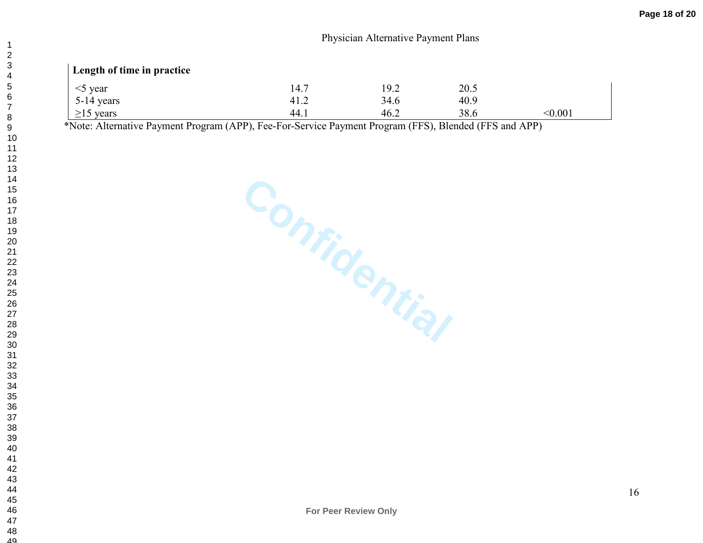# **Length of time in practice**

| year<br>$\sim$ | 14.7 | 19.2 | 20.5 |       |
|----------------|------|------|------|-------|
| 5-14 years     | 41.2 | 34.6 | 40.9 |       |
| years<br>21>   | 44.1 | 46.2 | 38.6 | 0.001 |

\*Note: Alternative Payment Program (APP), Fee-For-Service Payment Program (FFS), Blended (FFS and APP)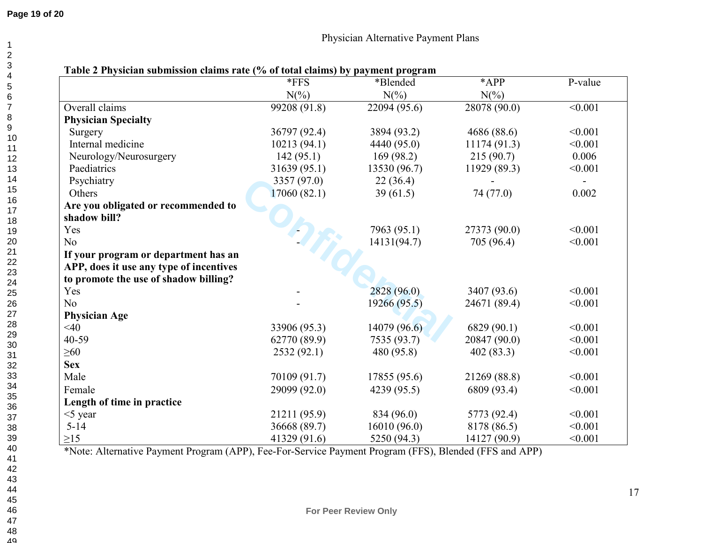# **Page 19 of 20**

|                                         | $*$ FFS      | *Blended     | *APP         | P-value        |
|-----------------------------------------|--------------|--------------|--------------|----------------|
|                                         | $N(\%)$      | $N(\%)$      | $N(\%)$      |                |
| Overall claims                          | 99208 (91.8) | 22094 (95.6) | 28078 (90.0) | < 0.001        |
| <b>Physician Specialty</b>              |              |              |              |                |
| Surgery                                 | 36797 (92.4) | 3894 (93.2)  | 4686 (88.6)  | < 0.001        |
| Internal medicine                       | 10213(94.1)  | 4440 (95.0)  | 11174(91.3)  | < 0.001        |
| Neurology/Neurosurgery                  | 142(95.1)    | 169(98.2)    | 215(90.7)    | 0.006          |
| Paediatrics                             | 31639(95.1)  | 13530 (96.7) | 11929 (89.3) | < 0.001        |
| Psychiatry                              | 3357(97.0)   | 22(36.4)     |              | $\blacksquare$ |
| Others                                  | 17060(82.1)  | 39(61.5)     | 74 (77.0)    | 0.002          |
| Are you obligated or recommended to     |              |              |              |                |
| shadow bill?                            |              |              |              |                |
| Yes                                     |              | 7963 (95.1)  | 27373 (90.0) | < 0.001        |
| No                                      |              | 14131(94.7)  | 705 (96.4)   | < 0.001        |
| If your program or department has an    |              |              |              |                |
| APP, does it use any type of incentives |              |              |              |                |
| to promote the use of shadow billing?   |              |              |              |                |
| Yes                                     |              | 2828 (96.0)  | 3407 (93.6)  | < 0.001        |
| No                                      |              | 19266(95.5)  | 24671 (89.4) | < 0.001        |
| <b>Physician Age</b>                    |              |              |              |                |
| $<$ 40                                  | 33906 (95.3) | 14079(96.6)  | 6829(90.1)   | < 0.001        |
| 40-59                                   | 62770 (89.9) | 7535(93.7)   | 20847 (90.0) | < 0.001        |
| $\geq 60$                               | 2532(92.1)   | 480 (95.8)   | 402(83.3)    | < 0.001        |
| <b>Sex</b>                              |              |              |              |                |
| Male                                    | 70109 (91.7) | 17855 (95.6) | 21269 (88.8) | < 0.001        |
| Female                                  | 29099 (92.0) | 4239 (95.5)  | 6809 (93.4)  | < 0.001        |
| Length of time in practice              |              |              |              |                |
| $<$ 5 year                              | 21211 (95.9) | 834 (96.0)   | 5773 (92.4)  | < 0.001        |
| $5 - 14$                                | 36668 (89.7) | 16010(96.0)  | 8178 (86.5)  | < 0.001        |
| $\geq$ 15                               | 41329 (91.6) | 5250(94.3)   | 14127 (90.9) | < 0.001        |

\*Note: Alternative Payment Program (APP), Fee-For-Service Payment Program (FFS), Blended (FFS and APP)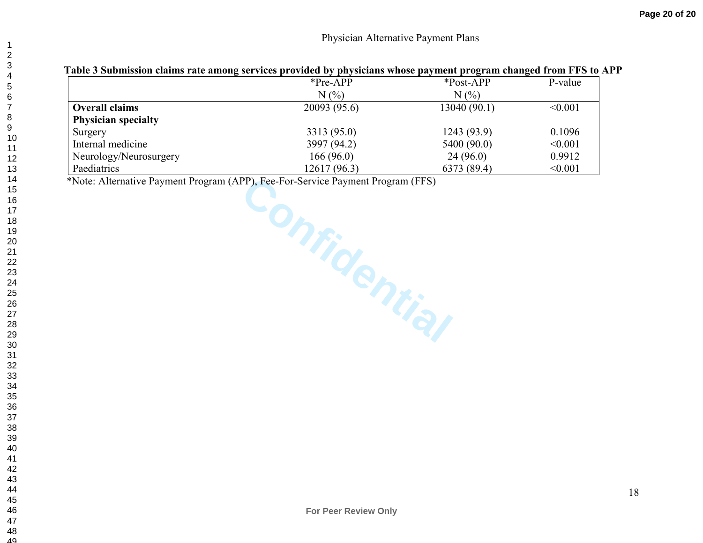|                            | $*Pre-APP$   | *Post-APP   | P-value |
|----------------------------|--------------|-------------|---------|
|                            | $N(\%)$      | $N(\%)$     |         |
| <b>Overall claims</b>      | 20093 (95.6) | 13040(90.1) | < 0.001 |
| <b>Physician specialty</b> |              |             |         |
| Surgery                    | 3313 (95.0)  | 1243 (93.9) | 0.1096  |
| Internal medicine          | 3997 (94.2)  | 5400 (90.0) | < 0.001 |
| Neurology/Neurosurgery     | 166(96.0)    | 24(96.0)    | 0.9912  |
| Paediatrics                | 12617 (96.3) | 6373 (89.4) | < 0.001 |

PP), Fee-For-Service Payment Program (FFS) \*Note: Alternative Payment Program (APP), Fee-For-Service Payment Program (FFS)

**For Peer Review Only**